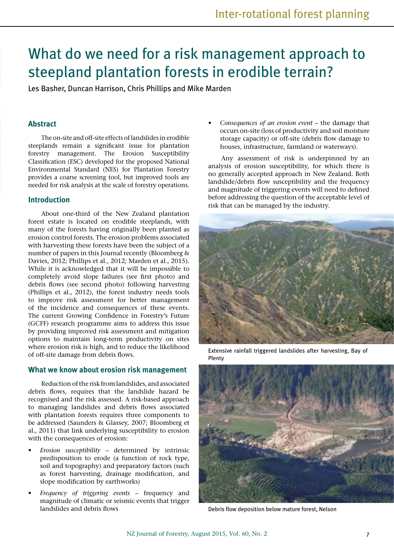# What do we need for a risk management approach to steepland plantation forests in erodible terrain?

Les Basher, Duncan Harrison, Chris Phillips and Mike Marden

## **Abstract**

The on-site and off-site effects of landslides in erodible steeplands remain a significant issue for plantation forestry management. The Erosion Susceptibility Classification (ESC) developed for the proposed National Environmental Standard (NES) for Plantation Forestry provides a coarse screening tool, but improved tools are needed for risk analysis at the scale of forestry operations.

## **Introduction**

About one-third of the New Zealand plantation forest estate is located on erodible steeplands, with many of the forests having originally been planted as erosion control forests. The erosion problems associated with harvesting these forests have been the subject of a number of papers in this Journal recently (Bloomberg & Davies, 2012; Phillips et al., 2012; Marden et al., 2015). While it is acknowledged that it will be impossible to completely avoid slope failures (see first photo) and debris flows (see second photo) following harvesting (Phillips et al., 2012), the forest industry needs tools to improve risk assessment for better management of the incidence and consequences of these events. The current Growing Confidence in Forestry's Future (GCFF) research programme aims to address this issue by providing improved risk assessment and mitigation options to maintain long-term productivity on sites where erosion risk is high, and to reduce the likelihood of off-site damage from debris flows.

#### **What we know about erosion risk management**

Reduction of the risk from landslides, and associated debris flows, requires that the landslide hazard be recognised and the risk assessed. A risk-based approach to managing landslides and debris flows associated with plantation forests requires three components to be addressed (Saunders & Glassey, 2007; Bloomberg et al., 2011) that link underlying susceptibility to erosion with the consequences of erosion:

- *• Erosion susceptibility* determined by intrinsic predisposition to erode (a function of rock type, soil and topography) and preparatory factors (such as forest harvesting, drainage modification, and slope modification by earthworks)
- *• Frequency of triggering events* frequency and magnitude of climatic or seismic events that trigger landslides and debris flows

*• Consequences of an erosion event* – the damage that occurs on-site (loss of productivity and soil moisture storage capacity) or off-site (debris flow damage to houses, infrastructure, farmland or waterways).

Any assessment of risk is underpinned by an analysis of erosion susceptibility, for which there is no generally accepted approach in New Zealand. Both landslide/debris flow susceptibility and the frequency and magnitude of triggering events will need to defined before addressing the question of the acceptable level of risk that can be managed by the industry.



Extensive rainfall triggered landslides after harvesting, Bay of Plenty



Debris flow deposition below mature forest, Nelson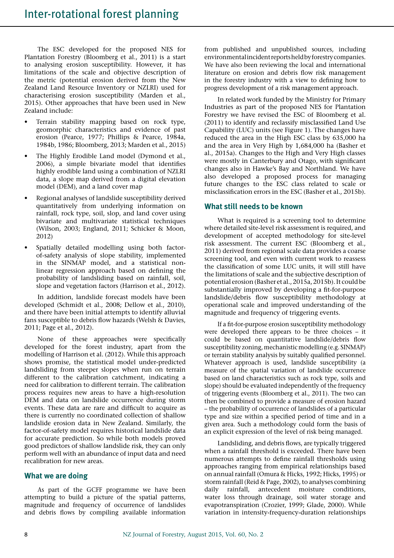The ESC developed for the proposed NES for Plantation Forestry (Bloomberg et al., 2011) is a start to analysing erosion susceptibility. However, it has limitations of the scale and objective description of the metric (potential erosion derived from the New Zealand Land Resource Inventory or NZLRI) used for characterising erosion susceptibility (Marden et al., 2015). Other approaches that have been used in New Zealand include:

- Terrain stability mapping based on rock type, geomorphic characteristics and evidence of past erosion (Pearce, 1977; Phillips & Pearce, 1984a, 1984b, 1986; Bloomberg, 2013; Marden et al., 2015)
- The Highly Erodible Land model (Dymond et al., 2006), a simple bivariate model that identifies highly erodible land using a combination of NZLRI data, a slope map derived from a digital elevation model (DEM), and a land cover map
- Regional analyses of landslide susceptibility derived quantitatively from underlying information on rainfall, rock type, soil, slop, and land cover using bivariate and multivariate statistical techniques (Wilson, 2003; England, 2011; Schicker & Moon, 2012)
- Spatially detailed modelling using both factorof-safety analysis of slope stability, implemented in the SINMAP model, and a statistical nonlinear regression approach based on defining the probability of landsliding based on rainfall, soil, slope and vegetation factors (Harrison et al., 2012).

In addition, landslide forecast models have been developed (Schmidt et al., 2008; Dellow et al., 2010), and there have been initial attempts to identify alluvial fans susceptible to debris flow hazards (Welsh & Davies, 2011; Page et al., 2012).

None of these approaches were specifically developed for the forest industry, apart from the modelling of Harrison et al. (2012). While this approach shows promise, the statistical model under-predicted landsliding from steeper slopes when run on terrain different to the calibration catchment, indicating a need for calibration to different terrain. The calibration process requires new areas to have a high-resolution DEM and data on landslide occurrence during storm events. These data are rare and difficult to acquire as there is currently no coordinated collection of shallow landslide erosion data in New Zealand. Similarly, the factor-of-safety model requires historical landslide data for accurate prediction. So while both models proved good predictors of shallow landslide risk, they can only perform well with an abundance of input data and need recalibration for new areas.

### **What we are doing**

As part of the GCFF programme we have been attempting to build a picture of the spatial patterns, magnitude and frequency of occurrence of landslides and debris flows by compiling available information from published and unpublished sources, including environmental incident reports held by forestry companies. We have also been reviewing the local and international literature on erosion and debris flow risk management in the forestry industry with a view to defining how to progress development of a risk management approach.

In related work funded by the Ministry for Primary Industries as part of the proposed NES for Plantation Forestry we have revised the ESC of Bloomberg et al. (2011) to identify and reclassify misclassified Land Use Capability (LUC) units (see Figure 1). The changes have reduced the area in the High ESC class by 635,000 ha and the area in Very High by 1,684,000 ha (Basher et al., 2015a). Changes to the High and Very High classes were mostly in Canterbury and Otago, with significant changes also in Hawke's Bay and Northland. We have also developed a proposed process for managing future changes to the ESC class related to scale or misclassification errors in the ESC (Basher et al., 2015b).

## **What still needs to be known**

What is required is a screening tool to determine where detailed site-level risk assessment is required, and development of accepted methodology for site-level risk assessment. The current ESC (Bloomberg et al., 2011) derived from regional scale data provides a coarse screening tool, and even with current work to reassess the classification of some LUC units, it will still have the limitations of scale and the subjective description of potential erosion (Basher et al., 2015a, 2015b). It could be substantially improved by developing a fit-for-purpose landslide/debris flow susceptibility methodology at operational scale and improved understanding of the magnitude and frequency of triggering events.

If a fit-for-purpose erosion susceptibility methodology were developed there appears to be three choices – it could be based on quantitative landslide/debris flow susceptibility zoning, mechanistic modelling (e.g. SINMAP) or terrain stability analysis by suitably qualified personnel. Whatever approach is used, landslide susceptibility (a measure of the spatial variation of landslide occurrence based on land characteristics such as rock type, soils and slope) should be evaluated independently of the frequency of triggering events (Bloomberg et al., 2011). The two can then be combined to provide a measure of erosion hazard – the probability of occurrence of landslides of a particular type and size within a specified period of time and in a given area. Such a methodology could form the basis of an explicit expression of the level of risk being managed.

Landsliding, and debris flows, are typically triggered when a rainfall threshold is exceeded. There have been numerous attempts to define rainfall thresholds using approaches ranging from empirical relationships based on annual rainfall (Omura & Hicks, 1992; Hicks, 1995) or storm rainfall (Reid & Page, 2002), to analyses combining daily rainfall, antecedent moisture conditions, water loss through drainage, soil water storage and evapotranspiration (Crozier, 1999; Glade, 2000). While variation in intensity-frequency-duration relationships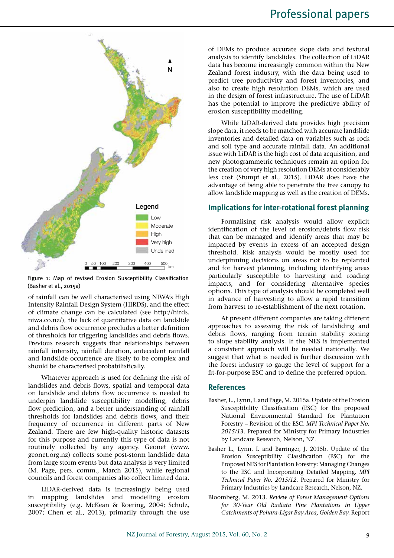

Figure 1: Map of revised Erosion Susceptibility Classification (Basher et al., 2015a)

of rainfall can be well characterised using NIWA's High Intensity Rainfall Design System (HIRDS), and the effect of climate change can be calculated (see http://hirds. niwa.co.nz/), the lack of quantitative data on landslide and debris flow occurrence precludes a better definition of thresholds for triggering landslides and debris flows. Previous research suggests that relationships between rainfall intensity, rainfall duration, antecedent rainfall and landslide occurrence are likely to be complex and should be characterised probabilistically.

Whatever approach is used for defining the risk of landslides and debris flows, spatial and temporal data on landslide and debris flow occurrence is needed to underpin landslide susceptibility modelling, debris flow prediction, and a better understanding of rainfall thresholds for landslides and debris flows, and their frequency of occurrence in different parts of New Zealand. There are few high-quality historic datasets for this purpose and currently this type of data is not routinely collected by any agency. Geonet (www. geonet.org.nz) collects some post-storm landslide data from large storm events but data analysis is very limited (M. Page, pers. comm., March 2015), while regional councils and forest companies also collect limited data.

LiDAR-derived data is increasingly being used in mapping landslides and modelling erosion susceptibility (e.g. McKean & Roering, 2004; Schulz, 2007; Chen et al., 2013), primarily through the use of DEMs to produce accurate slope data and textural analysis to identify landslides. The collection of LiDAR data has become increasingly common within the New Zealand forest industry, with the data being used to predict tree productivity and forest inventories, and also to create high resolution DEMs, which are used in the design of forest infrastructure. The use of LiDAR has the potential to improve the predictive ability of erosion susceptibility modelling.

While LiDAR-derived data provides high precision slope data, it needs to be matched with accurate landslide inventories and detailed data on variables such as rock and soil type and accurate rainfall data. An additional issue with LiDAR is the high cost of data acquisition, and new photogrammetric techniques remain an option for the creation of very high resolution DEMs at considerably less cost (Stumpf et al., 2015). LiDAR does have the advantage of being able to penetrate the tree canopy to allow landslide mapping as well as the creation of DEMs.

## **Implications for inter-rotational forest planning**

Formalising risk analysis would allow explicit identification of the level of erosion/debris flow risk that can be managed and identify areas that may be impacted by events in excess of an accepted design threshold. Risk analysis would be mostly used for underpinning decisions on areas not to be replanted and for harvest planning, including identifying areas particularly susceptible to harvesting and roading impacts, and for considering alternative species options. This type of analysis should be completed well in advance of harvesting to allow a rapid transition from harvest to re-establishment of the next rotation.

At present different companies are taking different approaches to assessing the risk of landsliding and debris flows, ranging from terrain stability zoning to slope stability analysis. If the NES is implemented a consistent approach will be needed nationally. We suggest that what is needed is further discussion with the forest industry to gauge the level of support for a fit-for-purpose ESC and to define the preferred option.

### **References**

- Basher, L., Lynn, I. and Page, M. 2015a. Update of the Erosion Susceptibility Classification (ESC) for the proposed National Environmental Standard for Plantation Forestry – Revision of the ESC. *MPI Technical Paper No. 2015/13*. Prepared for Ministry for Primary Industries by Landcare Research, Nelson, NZ.
- Basher L., Lynn. I. and Barringer, J. 2015b. Update of the Erosion Susceptibility Classification (ESC) for the Proposed NES for Plantation Forestry: Managing Changes to the ESC and Incorporating Detailed Mapping. *MPI Technical Paper No. 2015/12*. Prepared for Ministry for Primary Industries by Landcare Research, Nelson, NZ.
- Bloomberg, M. 2013. *Review of Forest Management Options for 30-Year Old Radiata Pine Plantations in Upper Catchments of Pohara-Ligar Bay Area, Golden Bay.* Report